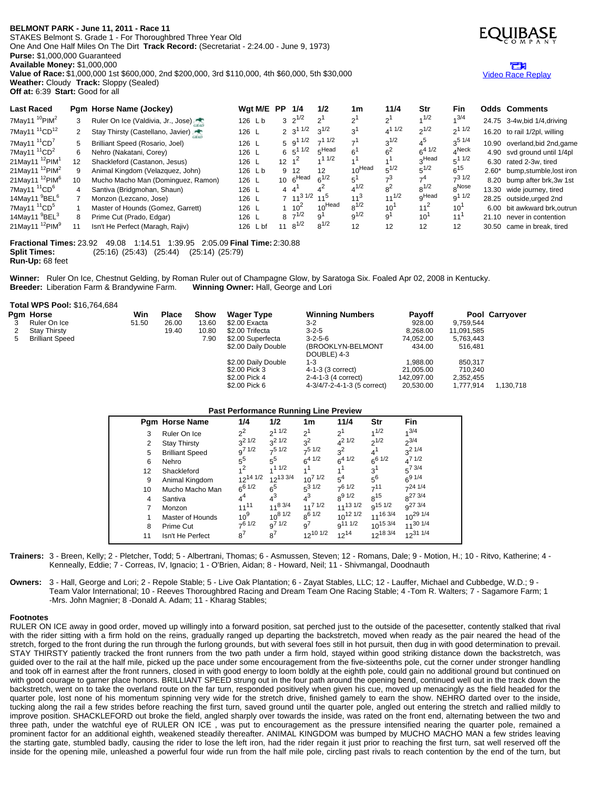## **BELMONT PARK - June 11, 2011 - Race 11**

STAKES Belmont S. Grade 1 - For Thoroughbred Three Year Old One And One Half Miles On The Dirt **Track Record:** (Secretariat - 2:24.00 - June 9, 1973) **Purse:** \$1,000,000 Guaranteed **Available Money:** \$1,000,000

**Value of Race:** \$1,000,000 1st \$600,000, 2nd \$200,000, 3rd \$110,000, 4th \$60,000, 5th \$30,000 **Weather:** Cloudy **Track:** Sloppy (Sealed) **Off at:** 6:39 **Start:** Good for all



# Video Race [Replay](http://www.equibase.com/premium/eqpRaceVideo.cfm?TRK=BEL&CY=USA&DATE=06/11/2011&RACE=11&DAY=D&site=CHRR)

| <b>Last Raced</b>                      |              | Pgm Horse Name (Jockey)            | Wgt M/E  | PP              | 1/4                       | 1/2               | 1m                 | 11/4         | Str               | Fin           |       | <b>Odds Comments</b>           |
|----------------------------------------|--------------|------------------------------------|----------|-----------------|---------------------------|-------------------|--------------------|--------------|-------------------|---------------|-------|--------------------------------|
| 7May11 $10$ PIM <sup>2</sup>           | 3            | Ruler On Ice (Valdivia, Jr., Jose) | 126 Lb   |                 | $3 \cdot 2^{1/2}$         | $2^1$             | ו פ                | $2^1$        | 1/2               | $4^{3/4}$     |       | 24.75 3-4w, bid 1/4, driving   |
| 7May11 <sup>11</sup> CD <sup>12</sup>  | $\mathbf{2}$ | Stay Thirsty (Castellano, Javier)  | 126 L    |                 | 2 $3^{11/2}$              | $3^{1/2}$         | ົ                  | $4^{11/2}$   | $2^{1/2}$         | $2^{11/2}$    |       | 16.20 to rail 1/2pl, willing   |
| 7May11 <sup>11</sup> CD <sup>7</sup>   | 5            | Brilliant Speed (Rosario, Joel)    | 126 L    |                 | $5\;9^{1\;1/2}$           | $-11/2$           |                    | $3^{1/2}$    | $4^5$             | $3^{5}$ $1/4$ |       | 10.90 overland, bid 2nd, game  |
| 7May11 $11^{\circ}$ CD <sup>2</sup>    | 6.           | Nehro (Nakatani, Corey)            | 126 L    |                 | $6\;\;5^{1\;1/2}\;\;$     | $5$ Head          | $\sim$             | ഭ<           | $c^{4}1/2$        | $4$ Neck      |       | 4.90 svd ground until 1/4pl    |
| 21May11 <sup>12</sup> PIM <sup>1</sup> | 12           | Shackleford (Castanon, Jesus)      | 126 L    |                 | $12 \t1^2$                | 11/2              |                    |              | ∩Head             | $5^{11/2}$    |       | 6.30 rated 2-3w, tired         |
| 21May11 <sup>12</sup> PIM <sup>2</sup> | 9            | Animal Kingdom (Velazquez, John)   | 126 Lb   |                 | 9 12                      | $12 \overline{ }$ | 10Head             | $5^{1/2}$    | $5^{1/2}$         | $6^{15}$      |       | 2.60* bump, stumble, lost iron |
| 21May11 <sup>12</sup> PIM <sup>6</sup> | 10           | Mucho Macho Man (Dominguez, Ramon) | 126 L    | 10 <sup>1</sup> | ., 6 <sup>Head</sup>      | $6^{1/2}$         | 5'                 |              | $-4$              | $-31/2$       |       | 8.20 bump after brk, 3w 1st    |
| 7May11 <sup>11</sup> CD <sup>6</sup>   | 4            | Santiva (Bridgmohan, Shaun)        | 126 L    |                 | $4\quad 4$                |                   | $4^{1/2}$          | 8ŕ           | $8^{1/2}$         | 8Nose         |       | 13.30 wide journey, tired      |
| 14May11 <sup>9</sup> BEL <sup>6</sup>  |              | Monzon (Lezcano, Jose)             | 126 L    |                 | $7 \t11^{3 \t1/2} \t11^5$ |                   | $11^3$             | $11^{1/2}$   | <sub>n</sub> Head | $9^{11/2}$    |       | 28.25 outside, urged 2nd       |
| 7May11 $11^{\circ}$ CD <sup>5</sup>    |              | Master of Hounds (Gomez, Garrett)  | 126 L    |                 | $1 \t10^2$                | $10^{\sf Head}$   | 0 <sub>0</sub> 1/2 | $10^{\circ}$ | $11^2$            | 10            |       | 6.00 bit awkward brk.outrun    |
| 14May11 <sup>9</sup> BEL <sup>3</sup>  | 8            | Prime Cut (Prado, Edgar)           | 126 L    |                 | $8 \t7^{1/2}$             | ۹'                | $q^{1/2}$          | $9^1$        | 10 <sup>7</sup>   | 11            | 21.10 | never in contention            |
| 21May11 $12$ PIM <sup>9</sup>          |              | Isn't He Perfect (Maragh, Rajiv)   | 126 L bf | 11              | $8^{1/2}$                 | $8^{1/2}$         | 12                 | 12           | 12                | 12            |       | 30.50 came in break, tired     |

**Fractional Times:** 23.92 49.08 1:14.51 1:39.95 2:05.09 **Final Time:** 2:30.88 **Split Times:** (25:16) (25:43) (25:44) (25:14) (25:79) **Run-Up:** 68 feet

**Winner:** Ruler On Ice, Chestnut Gelding, by Roman Ruler out of Champagne Glow, by Saratoga Six. Foaled Apr 02, 2008 in Kentucky. **Breeder:** Liberation Farm & Brandywine Farm. **Winning Owner:** Hall, George and Lori

### **Total WPS Pool:** \$16,764,684

|   | Pgm Horse              | Win   | <b>Place</b> | Show  | Wager Type          | <b>Winning Numbers</b>           | <b>Payoff</b> |            | Pool Carryover |
|---|------------------------|-------|--------------|-------|---------------------|----------------------------------|---------------|------------|----------------|
|   | Ruler On Ice           | 51.50 | 26.00        | 13.60 | \$2.00 Exacta       | $3-2$                            | 928.00        | 9.759.544  |                |
|   | <b>Stay Thirsty</b>    |       | 19.40        | 10.80 | \$2.00 Trifecta     | $3 - 2 - 5$                      | 8.268.00      | 11,091,585 |                |
| 5 | <b>Brilliant Speed</b> |       |              | 7.90  | \$2.00 Superfecta   | $3 - 2 - 5 - 6$                  | 74.052.00     | 5,763,443  |                |
|   |                        |       |              |       | \$2.00 Daily Double | (BROOKLYN-BELMONT<br>DOUBLE) 4-3 | 434.00        | 516.481    |                |
|   |                        |       |              |       | \$2.00 Daily Double | $1 - 3$                          | 1.988.00      | 850.317    |                |
|   |                        |       |              |       | \$2.00 Pick 3       | 4-1-3 (3 correct)                | 21.005.00     | 710.240    |                |
|   |                        |       |              |       | \$2.00 Pick 4       | 2-4-1-3 (4 correct)              | 142.097.00    | 2,352,455  |                |
|   |                        |       |              |       | \$2.00 Pick 6       | 4-3/4/7-2-4-1-3 (5 correct)      | 20.530.00     | 1.777.914  | 1.130.718      |

### **Past Performance Running Line Preview**

|    | <b>Pgm Horse Name</b>  | 1/4             | 1/2            | 1m              | 11/4            | Str            | Fin                 |
|----|------------------------|-----------------|----------------|-----------------|-----------------|----------------|---------------------|
| 3  | Ruler On Ice           | $2^2$           | $2^{11/2}$     | 2 <sup>1</sup>  | 2 <sup>1</sup>  | 1/2            | $1^{3/4}$           |
| 2  | <b>Stay Thirsty</b>    | $3^2$ 1/2       | $3^2$ 1/2      | $3^2$           | $4^2$ 1/2       | $2^{1/2}$      | $2^{3/4}$           |
| 5  | <b>Brilliant Speed</b> | $9^{7}$ 1/2     | $7^5$ 1/2      | $7^5$ 1/2       | $3^2$           | 4 <sup>1</sup> | $3^2$ 1/4           |
| 6  | Nehro                  | $5^5$           | $5^{5}$        | $6^{4}$ 1/2     | $6^{4}$ $1/2$   | $6^{6}$ 1/2    | $4^{7}$ 1/2         |
| 12 | Shackleford            | $1^2$           | 11/2           | 41              |                 | 3 <sup>1</sup> | $5^{7}$ 3/4         |
| 9  | Animal Kingdom         | $12^{14}$ $1/2$ | $12^{13}$ 3/4  | $10^{7}$ $1/2$  | $5^4$           | $5^6$          | $6^{9}$ $1/4$       |
| 10 | Mucho Macho Man        | $6^{6}$ $1/2$   | 6 <sup>5</sup> | $5^3$ 1/2       | $7^{6}$ 1/2     | 711            | $-241/4$            |
| 4  | Santiva                | $4^4$           | $4^3$          | $4^3$           | $8^{9}$ 1/2     | $R^{15}$       | $8^{27}$ 3/4        |
| 7  | Monzon                 | $11^{11}$       | $11^{8}$ 3/4   | $11^{7}$ $1/2$  | $11^{13}$ $1/2$ | $q^{15}$ 1/2   | g <sup>27</sup> 3/4 |
| 1  | Master of Hounds       | $10^{9}$        | $10^{8}$ $1/2$ | $8^{6}1/2$      | $10^{12}$ $1/2$ | $11^{16}$ 3/4  | $10^{29}$ 1/4       |
| 8  | Prime Cut              | $7^6$ 1/2       | $9^{71/2}$     | g <sup>7</sup>  | $9^{111/2}$     | $10^{15}$ 3/4  | $11^{30}$ 1/4       |
| 11 | Isn't He Perfect       | $8^7$           | 8 <sup>7</sup> | $12^{10}$ $1/2$ | $12^{14}$       | $12^{18}$ 3/4  | $12^{31}$ 1/4       |

**Trainers:** 3 - Breen, Kelly; 2 - Pletcher, Todd; 5 - Albertrani, Thomas; 6 - Asmussen, Steven; 12 - Romans, Dale; 9 - Motion, H.; 10 - Ritvo, Katherine; 4 - Kenneally, Eddie; 7 - Correas, IV, Ignacio; 1 - O'Brien, Aidan; 8 - Howard, Neil; 11 - Shivmangal, Doodnauth

**Owners:** 3 - Hall, George and Lori; 2 - Repole Stable; 5 - Live Oak Plantation; 6 - Zayat Stables, LLC; 12 - Lauffer, Michael and Cubbedge, W.D.; 9 - Team Valor International; 10 - Reeves Thoroughbred Racing and Dream Team One Racing Stable; 4 -Tom R. Walters; 7 - Sagamore Farm; 1 -Mrs. John Magnier; 8 -Donald A. Adam; 11 - Kharag Stables;

#### **Footnotes**

RULER ON ICE away in good order, moved up willingly into a forward position, sat perched just to the outside of the pacesetter, contently stalked that rival with the rider sitting with a firm hold on the reins, gradually ranged up departing the backstretch, moved when ready as the pair neared the head of the stretch, forged to the front during the run through the furlong grounds, but with several foes still in hot pursuit, then dug in with good determination to prevail. STAY THIRSTY patiently tracked the front runners from the two path under a firm hold, stayed within good striking distance down the backstretch, was guided over to the rail at the half mile, picked up the pace under some encouragement from the five-sixteenths pole, cut the corner under stronger handling and took off in earnest after the front runners, closed in with good energy to loom boldly at the eighth pole, could gain no additional ground but continued on with good courage to garner place honors. BRILLIANT SPEED strung out in the four path around the opening bend, continued well out in the track down the backstretch, went on to take the overland route on the far turn, responded positively when given his cue, moved up menacingly as the field headed for the quarter pole, lost none of his momentum spinning very wide for the stretch drive, finished gamely to earn the show. NEHRO darted over to the inside, tucking along the rail a few strides before reaching the first turn, saved ground until the quarter pole, angled out entering the stretch and rallied mildly to improve position. SHACKLEFORD out broke the field, angled sharply over towards the inside, was rated on the front end, alternating between the two and three path, under the watchful eye of RULER ON ICE , was put to encouragement as the pressure intensified nearing the quarter pole, remained a prominent factor for an additional eighth, weakened steadily thereafter. ANIMAL KINGDOM was bumped by MUCHO MACHO MAN a few strides leaving the starting gate, stumbled badly, causing the rider to lose the left iron, had the rider regain it just prior to reaching the first turn, sat well reserved off the inside for the opening mile, unleashed a powerful four wide run from the half mile pole, circling past rivals to reach contention by the end of the turn, but